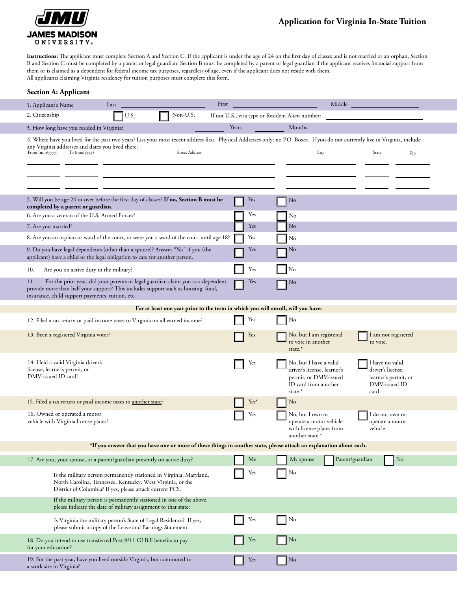

## **Application for Virginia In-State Tuition**

**Instructions:** The applicant must complete Section A and Section C. If the applicant is under the age of 24 on the first day of classes and is not married or an orphan, Section B and Section C must be completed by a parent or legal guardian. Section B must be completed by a parent or legal guardian if the applicant receives financial support from them or is claimed as a dependent for federal income tax purposes, regardless of age, even if the applicant does not reside with them. All applicants claiming Virginia residency for tuition purposes must complete this form.

| 1. Applicant's Name                                                                                                                                            | Last                                                                                                                                                                                          | First<br>Middle                                                                 |       |        |                                                                                                                                                                                                            |                                                                                                                                                          |  |  |  |  |  |
|----------------------------------------------------------------------------------------------------------------------------------------------------------------|-----------------------------------------------------------------------------------------------------------------------------------------------------------------------------------------------|---------------------------------------------------------------------------------|-------|--------|------------------------------------------------------------------------------------------------------------------------------------------------------------------------------------------------------------|----------------------------------------------------------------------------------------------------------------------------------------------------------|--|--|--|--|--|
| 2. Citizenship                                                                                                                                                 | U.S.                                                                                                                                                                                          | Non-U.S.                                                                        |       |        |                                                                                                                                                                                                            | If not U.S., visa type or Resident Alien number:                                                                                                         |  |  |  |  |  |
| 3. How long have you resided in Virginia?                                                                                                                      |                                                                                                                                                                                               |                                                                                 | Years |        |                                                                                                                                                                                                            | Months                                                                                                                                                   |  |  |  |  |  |
| any Virginia addresses and dates you lived there.<br>From (mm/yyyy)<br>To (mm/yyyy)                                                                            | Street Address                                                                                                                                                                                |                                                                                 |       |        | 4. Where have you lived for the past two years? List your most recent address first. Physical Addresses only; no P.O. Boxes. If you do not currently live in Virginia, include<br>City<br>State<br>Zip     |                                                                                                                                                          |  |  |  |  |  |
|                                                                                                                                                                |                                                                                                                                                                                               |                                                                                 |       |        |                                                                                                                                                                                                            |                                                                                                                                                          |  |  |  |  |  |
| 5. Will you be age 24 or over before the first day of classes? If no, Section B must be<br>completed by a parent or guardian.                                  |                                                                                                                                                                                               |                                                                                 |       | Yes    |                                                                                                                                                                                                            | No                                                                                                                                                       |  |  |  |  |  |
| 6. Are you a veteran of the U.S. Armed Forces?                                                                                                                 |                                                                                                                                                                                               |                                                                                 |       | Yes    |                                                                                                                                                                                                            | No                                                                                                                                                       |  |  |  |  |  |
| 7. Are you married?                                                                                                                                            |                                                                                                                                                                                               |                                                                                 |       | Yes    |                                                                                                                                                                                                            | $\rm No$                                                                                                                                                 |  |  |  |  |  |
| 8. Are you an orphan or ward of the court, or were you a ward of the court until age 18?                                                                       |                                                                                                                                                                                               |                                                                                 |       | Yes    |                                                                                                                                                                                                            | No                                                                                                                                                       |  |  |  |  |  |
| 9. Do you have legal dependents (other than a spouse)? Answer "Yes" if you (the<br>applicant) have a child or the legal obligation to care for another person. |                                                                                                                                                                                               |                                                                                 |       | Yes    |                                                                                                                                                                                                            | No                                                                                                                                                       |  |  |  |  |  |
| Are you on active duty in the military?<br>10.                                                                                                                 |                                                                                                                                                                                               |                                                                                 |       | Yes    |                                                                                                                                                                                                            | No                                                                                                                                                       |  |  |  |  |  |
| 11.<br>provide more than half your support? This includes support such as housing, food,                                                                       |                                                                                                                                                                                               | For the prior year, did your parents or legal guardian claim you as a dependent |       | Yes    |                                                                                                                                                                                                            | No                                                                                                                                                       |  |  |  |  |  |
| insurance, child support payments, tuition, etc.<br>For at least one year prior to the term in which you will enroll, will you have:                           |                                                                                                                                                                                               |                                                                                 |       |        |                                                                                                                                                                                                            |                                                                                                                                                          |  |  |  |  |  |
|                                                                                                                                                                |                                                                                                                                                                                               |                                                                                 |       |        |                                                                                                                                                                                                            |                                                                                                                                                          |  |  |  |  |  |
| 12. Filed a tax return or paid income taxes to Virginia on all earned income?                                                                                  |                                                                                                                                                                                               |                                                                                 |       | Yes    |                                                                                                                                                                                                            | No                                                                                                                                                       |  |  |  |  |  |
| 13. Been a registered Virginia voter?                                                                                                                          |                                                                                                                                                                                               |                                                                                 |       | Yes    |                                                                                                                                                                                                            | No, but I am registered<br>I am not registered<br>to vote in another<br>to vote.<br>state.*                                                              |  |  |  |  |  |
| 14. Held a valid Virginia driver's<br>license, learner's permit, or<br>DMV-issued ID card?                                                                     |                                                                                                                                                                                               |                                                                                 | Yes   |        | No, but I have a valid<br>I have no valid<br>driver's license, learner's<br>driver's license,<br>permit, or DMV-issued<br>learner's permit, or<br>ID card from another<br>DMV-issued ID<br>state.*<br>card |                                                                                                                                                          |  |  |  |  |  |
| 15. Filed a tax return or paid income taxes to another state?                                                                                                  |                                                                                                                                                                                               |                                                                                 |       | $Yes*$ |                                                                                                                                                                                                            | No                                                                                                                                                       |  |  |  |  |  |
| 16. Owned or operated a motor<br>vehicle with Virginia license plates?                                                                                         |                                                                                                                                                                                               |                                                                                 |       | Yes    |                                                                                                                                                                                                            | No, but I own or<br>I do not own or<br>operate a motor vehicle<br>operate a motor<br>with license plates from<br>vehicle.<br>another state. <sup>*</sup> |  |  |  |  |  |
| *If you answer that you have one or more of these things in another state, please attach an explanation about each.                                            |                                                                                                                                                                                               |                                                                                 |       |        |                                                                                                                                                                                                            |                                                                                                                                                          |  |  |  |  |  |
| 17. Are you, your spouse, or a parent/guardian presently on active duty?                                                                                       |                                                                                                                                                                                               |                                                                                 |       | Me     |                                                                                                                                                                                                            | Parent/guardian<br>My spouse<br>No                                                                                                                       |  |  |  |  |  |
|                                                                                                                                                                | Is the military person permanently stationed in Virginia, Maryland,<br>North Carolina, Tennessee, Kentucky, West Virginia, or the<br>District of Columbia? If yes, please attach current PCS. |                                                                                 |       | Yes    |                                                                                                                                                                                                            | No                                                                                                                                                       |  |  |  |  |  |
|                                                                                                                                                                | If the military person is permanently stationed in one of the above,<br>please indicate the date of military assignment to that state:                                                        |                                                                                 |       |        |                                                                                                                                                                                                            |                                                                                                                                                          |  |  |  |  |  |
|                                                                                                                                                                | Is Virginia the military person's State of Legal Residence? If yes,<br>please submit a copy of the Leave and Earnings Statement.                                                              |                                                                                 |       | Yes    |                                                                                                                                                                                                            | No                                                                                                                                                       |  |  |  |  |  |
| 18. Do you intend to use transferred Post-9/11 GI Bill benefits to pay<br>for your education?                                                                  |                                                                                                                                                                                               |                                                                                 |       | Yes    |                                                                                                                                                                                                            | No                                                                                                                                                       |  |  |  |  |  |
| 19. For the past year, have you lived outside Virginia, but commuted to<br>a work site in Virginia?                                                            |                                                                                                                                                                                               |                                                                                 |       | Yes    |                                                                                                                                                                                                            | No                                                                                                                                                       |  |  |  |  |  |